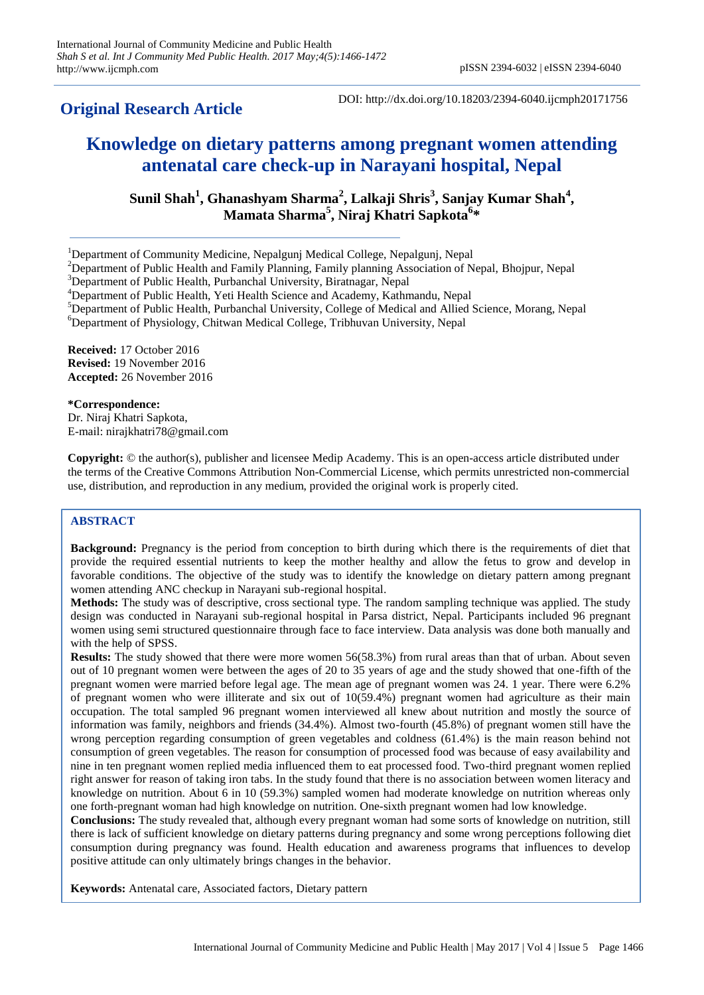# **Original Research Article**

DOI: http://dx.doi.org/10.18203/2394-6040.ijcmph20171756

# **Knowledge on dietary patterns among pregnant women attending antenatal care check-up in Narayani hospital, Nepal**

**Sunil Shah<sup>1</sup> , Ghanashyam Sharma<sup>2</sup> , Lalkaji Shris<sup>3</sup> , Sanjay Kumar Shah<sup>4</sup> , Mamata Sharma<sup>5</sup> , Niraj Khatri Sapkota<sup>6</sup> \***

<sup>1</sup>Department of Community Medicine, Nepalgunj Medical College, Nepalgunj, Nepal

<sup>2</sup>Department of Public Health and Family Planning, Family planning Association of Nepal, Bhojpur, Nepal

<sup>3</sup>Department of Public Health, Purbanchal University, Biratnagar, Nepal

<sup>4</sup>Department of Public Health, Yeti Health Science and Academy, Kathmandu, Nepal

<sup>5</sup>Department of Public Health, Purbanchal University, College of Medical and Allied Science, Morang, Nepal  ${}^{6}$ Department of Physiology, Chitwan Medical College, Tribhuvan University, Nepal

**Received:** 17 October 2016 **Revised:** 19 November 2016 **Accepted:** 26 November 2016

**\*Correspondence:** Dr. Niraj Khatri Sapkota, E-mail: nirajkhatri78@gmail.com

**Copyright:** © the author(s), publisher and licensee Medip Academy. This is an open-access article distributed under the terms of the Creative Commons Attribution Non-Commercial License, which permits unrestricted non-commercial use, distribution, and reproduction in any medium, provided the original work is properly cited.

# **ABSTRACT**

**Background:** Pregnancy is the period from conception to birth during which there is the requirements of diet that provide the required essential nutrients to keep the mother healthy and allow the fetus to grow and develop in favorable conditions. The objective of the study was to identify the knowledge on dietary pattern among pregnant women attending ANC checkup in Narayani sub-regional hospital.

**Methods:** The study was of descriptive, cross sectional type. The random sampling technique was applied. The study design was conducted in Narayani sub-regional hospital in Parsa district, Nepal. Participants included 96 pregnant women using semi structured questionnaire through face to face interview. Data analysis was done both manually and with the help of SPSS.

**Results:** The study showed that there were more women 56(58.3%) from rural areas than that of urban. About seven out of 10 pregnant women were between the ages of 20 to 35 years of age and the study showed that one-fifth of the pregnant women were married before legal age. The mean age of pregnant women was 24. 1 year. There were 6.2% of pregnant women who were illiterate and six out of 10(59.4%) pregnant women had agriculture as their main occupation. The total sampled 96 pregnant women interviewed all knew about nutrition and mostly the source of information was family, neighbors and friends (34.4%). Almost two-fourth (45.8%) of pregnant women still have the wrong perception regarding consumption of green vegetables and coldness (61.4%) is the main reason behind not consumption of green vegetables. The reason for consumption of processed food was because of easy availability and nine in ten pregnant women replied media influenced them to eat processed food. Two-third pregnant women replied right answer for reason of taking iron tabs. In the study found that there is no association between women literacy and knowledge on nutrition. About 6 in 10 (59.3%) sampled women had moderate knowledge on nutrition whereas only one forth-pregnant woman had high knowledge on nutrition. One-sixth pregnant women had low knowledge.

**Conclusions:** The study revealed that, although every pregnant woman had some sorts of knowledge on nutrition, still there is lack of sufficient knowledge on dietary patterns during pregnancy and some wrong perceptions following diet consumption during pregnancy was found. Health education and awareness programs that influences to develop positive attitude can only ultimately brings changes in the behavior.

**Keywords:** Antenatal care, Associated factors, Dietary pattern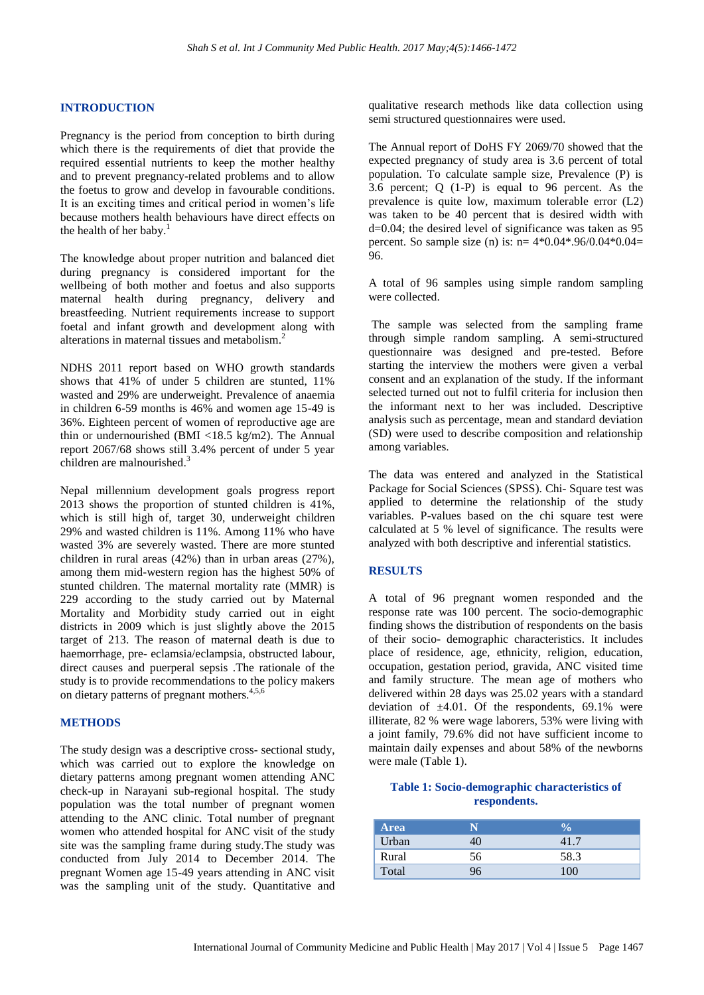#### **INTRODUCTION**

Pregnancy is the period from conception to birth during which there is the requirements of diet that provide the required essential nutrients to keep the mother healthy and to prevent pregnancy-related problems and to allow the foetus to grow and develop in favourable conditions. It is an exciting times and critical period in women's life because mothers health behaviours have direct effects on the health of her baby.<sup>1</sup>

The knowledge about proper nutrition and balanced diet during pregnancy is considered important for the wellbeing of both mother and foetus and also supports maternal health during pregnancy, delivery and breastfeeding. Nutrient requirements increase to support foetal and infant growth and development along with alterations in maternal tissues and metabolism. 2

NDHS 2011 report based on WHO growth standards shows that 41% of under 5 children are stunted, 11% wasted and 29% are underweight. Prevalence of anaemia in children 6-59 months is 46% and women age 15-49 is 36%. Eighteen percent of women of reproductive age are thin or undernourished (BMI <18.5 kg/m2). The Annual report 2067/68 shows still 3.4% percent of under 5 year children are malnourished. 3

Nepal millennium development goals progress report 2013 shows the proportion of stunted children is 41%, which is still high of, target 30, underweight children 29% and wasted children is 11%. Among 11% who have wasted 3% are severely wasted. There are more stunted children in rural areas (42%) than in urban areas (27%), among them mid-western region has the highest 50% of stunted children. The maternal mortality rate (MMR) is 229 according to the study carried out by Maternal Mortality and Morbidity study carried out in eight districts in 2009 which is just slightly above the 2015 target of 213. The reason of maternal death is due to haemorrhage, pre- eclamsia/eclampsia, obstructed labour, direct causes and puerperal sepsis .The rationale of the study is to provide recommendations to the policy makers on dietary patterns of pregnant mothers. 4,5,6

#### **METHODS**

The study design was a descriptive cross- sectional study, which was carried out to explore the knowledge on dietary patterns among pregnant women attending ANC check-up in Narayani sub-regional hospital. The study population was the total number of pregnant women attending to the ANC clinic. Total number of pregnant women who attended hospital for ANC visit of the study site was the sampling frame during study.The study was conducted from July 2014 to December 2014. The pregnant Women age 15-49 years attending in ANC visit was the sampling unit of the study. Quantitative and qualitative research methods like data collection using semi structured questionnaires were used.

The Annual report of DoHS FY 2069/70 showed that the expected pregnancy of study area is 3.6 percent of total population. To calculate sample size, Prevalence (P) is 3.6 percent; Q (1-P) is equal to 96 percent. As the prevalence is quite low, maximum tolerable error (L2) was taken to be 40 percent that is desired width with d=0.04; the desired level of significance was taken as 95 percent. So sample size (n) is:  $n= 4*0.04*.96/0.04*0.04=$ 96.

A total of 96 samples using simple random sampling were collected.

The sample was selected from the sampling frame through simple random sampling. A semi-structured questionnaire was designed and pre-tested. Before starting the interview the mothers were given a verbal consent and an explanation of the study. If the informant selected turned out not to fulfil criteria for inclusion then the informant next to her was included. Descriptive analysis such as percentage, mean and standard deviation (SD) were used to describe composition and relationship among variables.

The data was entered and analyzed in the Statistical Package for Social Sciences (SPSS). Chi- Square test was applied to determine the relationship of the study variables. P-values based on the chi square test were calculated at 5 % level of significance. The results were analyzed with both descriptive and inferential statistics.

#### **RESULTS**

A total of 96 pregnant women responded and the response rate was 100 percent. The socio-demographic finding shows the distribution of respondents on the basis of their socio- demographic characteristics. It includes place of residence, age, ethnicity, religion, education, occupation, gestation period, gravida, ANC visited time and family structure. The mean age of mothers who delivered within 28 days was 25.02 years with a standard deviation of  $\pm 4.01$ . Of the respondents, 69.1% were illiterate, 82 % were wage laborers, 53% were living with a joint family, 79.6% did not have sufficient income to maintain daily expenses and about 58% of the newborns were male (Table 1).

#### **Table 1: Socio-demographic characteristics of respondents.**

| <b>Area</b> |    |      |
|-------------|----|------|
| Urban       |    |      |
| Rural       | 56 | 58.3 |
| Total       | 96 | 100  |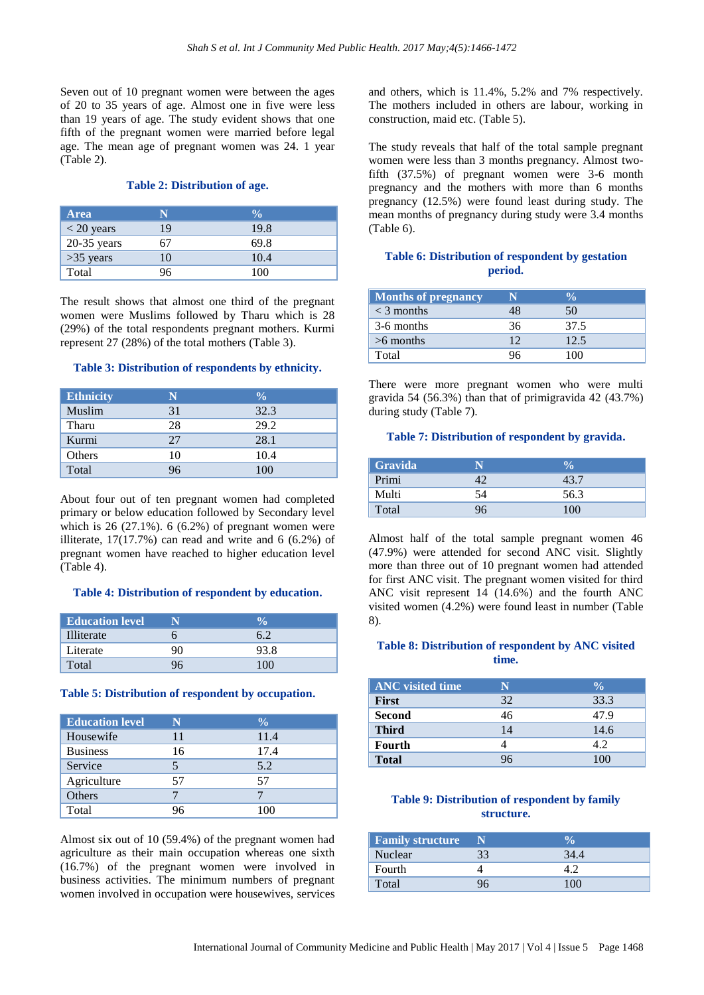Seven out of 10 pregnant women were between the ages of 20 to 35 years of age. Almost one in five were less than 19 years of age. The study evident shows that one fifth of the pregnant women were married before legal age. The mean age of pregnant women was 24. 1 year (Table 2).

#### **Table 2: Distribution of age.**

| <b>Area</b>   |    | $\frac{0}{\alpha}$ |
|---------------|----|--------------------|
| $<$ 20 years  | 19 | 19.8               |
| $20-35$ years | 67 | 69.8               |
| $>35$ years   | 10 | 10.4               |
| Total         | 96 | 100                |

The result shows that almost one third of the pregnant women were Muslims followed by Tharu which is 28 (29%) of the total respondents pregnant mothers. Kurmi represent 27 (28%) of the total mothers (Table 3).

#### **Table 3: Distribution of respondents by ethnicity.**

| <b>Ethnicity</b> |    | $\frac{0}{\alpha}$ |
|------------------|----|--------------------|
| Muslim           | 31 | 32.3               |
| Tharu            | 28 | 29.2               |
| Kurmi            | 27 | 28.1               |
| Others           | 10 | 10.4               |
| Total            | 96 | 100                |

About four out of ten pregnant women had completed primary or below education followed by Secondary level which is 26 (27.1%). 6 (6.2%) of pregnant women were illiterate,  $17(17.7%)$  can read and write and 6  $(6.2%)$  of pregnant women have reached to higher education level (Table 4).

#### **Table 4: Distribution of respondent by education.**

| <b>Education level</b> |      |
|------------------------|------|
| Illiterate             |      |
| Literate               | 93.8 |
| Total                  |      |

#### **Table 5: Distribution of respondent by occupation.**

| <b>Education level</b> |    | $\frac{0}{0}$ |
|------------------------|----|---------------|
| Housewife              | 11 | 11.4          |
| <b>Business</b>        | 16 | 17.4          |
| Service                |    | 5.2           |
| Agriculture            | 57 | 57            |
| Others                 |    |               |
| Total                  | J6 | 100           |

Almost six out of 10 (59.4%) of the pregnant women had agriculture as their main occupation whereas one sixth (16.7%) of the pregnant women were involved in business activities. The minimum numbers of pregnant women involved in occupation were housewives, services

and others, which is 11.4%, 5.2% and 7% respectively. The mothers included in others are labour, working in construction, maid etc. (Table 5).

The study reveals that half of the total sample pregnant women were less than 3 months pregnancy. Almost twofifth (37.5%) of pregnant women were 3-6 month pregnancy and the mothers with more than 6 months pregnancy (12.5%) were found least during study. The mean months of pregnancy during study were 3.4 months (Table 6).

### **Table 6: Distribution of respondent by gestation period.**

| <b>Months of pregnancy</b> |    |      |
|----------------------------|----|------|
| $\leq$ 3 months            | 48 | 50   |
| 3-6 months                 | 36 | 37.5 |
| $>6$ months                | 12 | 12.5 |
| Total                      |    | 100  |

There were more pregnant women who were multi gravida 54 (56.3%) than that of primigravida 42 (43.7%) during study (Table 7).

# **Table 7: Distribution of respondent by gravida.**

| <b>Gravida</b> |    | $\mathbf{v}_0$ |
|----------------|----|----------------|
| Primi          |    | 43.7           |
| Multi          | 54 | 56.3           |
| Total          |    | 100            |

Almost half of the total sample pregnant women 46 (47.9%) were attended for second ANC visit. Slightly more than three out of 10 pregnant women had attended for first ANC visit. The pregnant women visited for third ANC visit represent 14 (14.6%) and the fourth ANC visited women (4.2%) were found least in number (Table 8).

# **Table 8: Distribution of respondent by ANC visited time.**

| <b>ANC</b> visited time |    | $\frac{0}{0}$ |
|-------------------------|----|---------------|
| <b>First</b>            | 32 | 33.3          |
| <b>Second</b>           | 46 | 47.9          |
| <b>Third</b>            | 14 | 14.6          |
| <b>Fourth</b>           |    | 4.2           |
| <b>Total</b>            |    | 1 ( ) ( )     |

# **Table 9: Distribution of respondent by family structure.**

| <b>Family structure</b> | N | ⁄n   |
|-------------------------|---|------|
| Nuclear                 |   | 34.4 |
| Fourth                  |   |      |
| Total                   |   |      |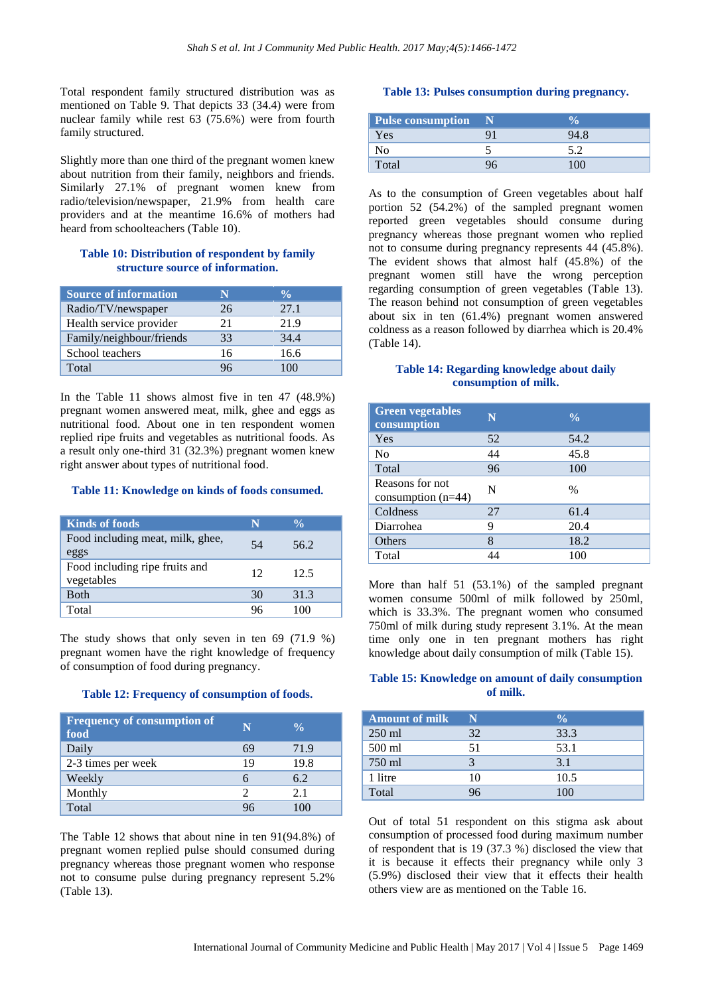Total respondent family structured distribution was as mentioned on Table 9. That depicts 33 (34.4) were from nuclear family while rest 63 (75.6%) were from fourth family structured.

Slightly more than one third of the pregnant women knew about nutrition from their family, neighbors and friends. Similarly 27.1% of pregnant women knew from radio/television/newspaper, 21.9% from health care providers and at the meantime 16.6% of mothers had heard from schoolteachers (Table 10).

# **Table 10: Distribution of respondent by family structure source of information.**

| <b>Source of information</b> |    | $\frac{0}{\alpha}$ |  |
|------------------------------|----|--------------------|--|
| Radio/TV/newspaper           | 26 | 27.1               |  |
| Health service provider      | 21 | 21.9               |  |
| Family/neighbour/friends     | 33 | 34.4               |  |
| School teachers              | 16 | 16.6               |  |
| Total                        | 96 | 100                |  |

In the Table 11 shows almost five in ten 47 (48.9%) pregnant women answered meat, milk, ghee and eggs as nutritional food. About one in ten respondent women replied ripe fruits and vegetables as nutritional foods. As a result only one-third 31 (32.3%) pregnant women knew right answer about types of nutritional food.

#### **Table 11: Knowledge on kinds of foods consumed.**

| <b>Kinds of foods</b>                        | N  | $\frac{0}{\pi}$ |
|----------------------------------------------|----|-----------------|
| Food including meat, milk, ghee,<br>eggs     | 54 | 56.2            |
| Food including ripe fruits and<br>vegetables | 12 | 12.5            |
| <b>B</b> oth                                 | 30 | 31.3            |
| Total                                        | 96 | 100             |

The study shows that only seven in ten 69 (71.9 %) pregnant women have the right knowledge of frequency of consumption of food during pregnancy.

# **Table 12: Frequency of consumption of foods.**

| <b>Frequency of consumption of</b><br>food | N  | $\frac{0}{0}$ |
|--------------------------------------------|----|---------------|
| Daily                                      | 69 | 71.9          |
| 2-3 times per week                         | 19 | 19.8          |
| Weekly                                     |    | 6.2           |
| Monthly                                    |    | 2.1           |
| Total                                      |    | 100           |

The Table 12 shows that about nine in ten 91(94.8%) of pregnant women replied pulse should consumed during pregnancy whereas those pregnant women who response not to consume pulse during pregnancy represent 5.2% (Table 13).

#### **Table 13: Pulses consumption during pregnancy.**

| <b>Pulse consumption</b> |          |
|--------------------------|----------|
| Yes                      | 94.8     |
| Nο                       |          |
| Total                    | $\alpha$ |

As to the consumption of Green vegetables about half portion 52 (54.2%) of the sampled pregnant women reported green vegetables should consume during pregnancy whereas those pregnant women who replied not to consume during pregnancy represents 44 (45.8%). The evident shows that almost half (45.8%) of the pregnant women still have the wrong perception regarding consumption of green vegetables (Table 13). The reason behind not consumption of green vegetables about six in ten (61.4%) pregnant women answered coldness as a reason followed by diarrhea which is 20.4% (Table 14).

# **Table 14: Regarding knowledge about daily consumption of milk.**

| <b>Green vegetables</b><br>consumption  | N  | $\frac{0}{0}$ |
|-----------------------------------------|----|---------------|
| Yes                                     | 52 | 54.2          |
| N <sub>0</sub>                          | 44 | 45.8          |
| Total                                   | 96 | 100           |
| Reasons for not<br>consumption $(n=44)$ | N  | $\%$          |
| Coldness                                | 27 | 61.4          |
| Diarrohea                               | 9  | 20.4          |
| Others                                  | 8  | 18.2          |
| Total                                   | 44 | 100           |

More than half 51 (53.1%) of the sampled pregnant women consume 500ml of milk followed by 250ml, which is 33.3%. The pregnant women who consumed 750ml of milk during study represent 3.1%. At the mean time only one in ten pregnant mothers has right knowledge about daily consumption of milk (Table 15).

# **Table 15: Knowledge on amount of daily consumption of milk.**

| <b>Amount of milk</b> | N  | $\frac{0}{\alpha}$ |
|-----------------------|----|--------------------|
| $250 \text{ ml}$      | 32 | 33.3               |
| 500 ml                | 51 | 53.1               |
| 750 ml                |    | 3.1                |
| 1 litre               | 10 | 10.5               |
| Total                 | 16 | 100                |

Out of total 51 respondent on this stigma ask about consumption of processed food during maximum number of respondent that is 19 (37.3 %) disclosed the view that it is because it effects their pregnancy while only 3 (5.9%) disclosed their view that it effects their health others view are as mentioned on the Table 16.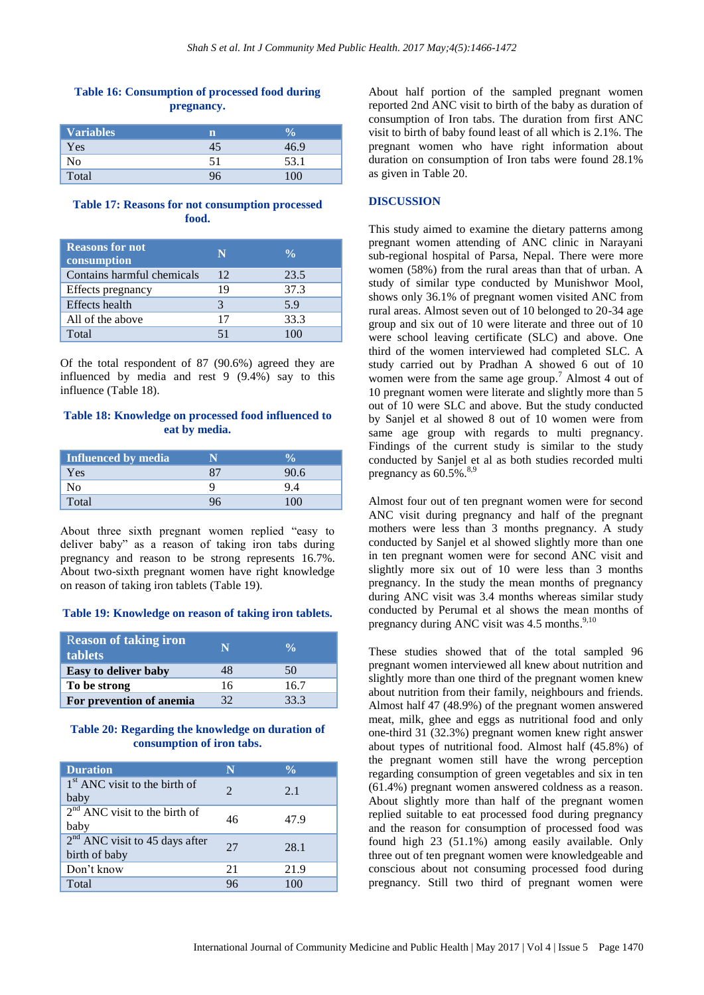# **Table 16: Consumption of processed food during pregnancy.**

| <b>Variables</b> | n  | О.   |
|------------------|----|------|
| Yes              |    | 46.9 |
| No               | 51 | 53.1 |
| Total            |    | 100  |

#### **Table 17: Reasons for not consumption processed food.**

| <b>Reasons for not</b><br>consumption | N  | $\frac{0}{\alpha}$ |
|---------------------------------------|----|--------------------|
| Contains harmful chemicals            | 12 | 23.5               |
| Effects pregnancy                     | 19 | 37.3               |
| Effects health                        |    | 5.9                |
| All of the above                      | 17 | 33.3               |
| Total                                 |    |                    |

Of the total respondent of 87 (90.6%) agreed they are influenced by media and rest 9 (9.4%) say to this influence (Table 18).

#### **Table 18: Knowledge on processed food influenced to eat by media.**

| Influenced by media |      |
|---------------------|------|
| Yes                 | YU.6 |
| No                  | 9.4  |
| Total               |      |

About three sixth pregnant women replied "easy to deliver baby" as a reason of taking iron tabs during pregnancy and reason to be strong represents 16.7%. About two-sixth pregnant women have right knowledge on reason of taking iron tablets (Table 19).

#### **Table 19: Knowledge on reason of taking iron tablets.**

| <b>Reason of taking iron</b><br><b>tablets</b> | N  | $\frac{0}{n}$ |
|------------------------------------------------|----|---------------|
| Easy to deliver baby                           | 48 | 50            |
| To be strong                                   | 16 | 16.7          |
| For prevention of anemia                       | 32 | 33.3          |

#### **Table 20: Regarding the knowledge on duration of consumption of iron tabs.**

| <b>Duration</b>                                             | N                     | $\frac{0}{\alpha}$ |
|-------------------------------------------------------------|-----------------------|--------------------|
| $1st$ ANC visit to the birth of<br>baby                     | $\mathcal{D}_{\cdot}$ | 2.1                |
| $2nd$ ANC visit to the birth of<br>baby                     | 46                    | 47.9               |
| 2 <sup>nd</sup> ANC visit to 45 days after<br>birth of baby | 27                    | 28.1               |
| Don't know                                                  | 21                    | 21.9               |
| Total                                                       | 96                    | 100                |

About half portion of the sampled pregnant women reported 2nd ANC visit to birth of the baby as duration of consumption of Iron tabs. The duration from first ANC visit to birth of baby found least of all which is 2.1%. The pregnant women who have right information about duration on consumption of Iron tabs were found 28.1% as given in Table 20.

#### **DISCUSSION**

This study aimed to examine the dietary patterns among pregnant women attending of ANC clinic in Narayani sub-regional hospital of Parsa, Nepal. There were more women (58%) from the rural areas than that of urban. A study of similar type conducted by Munishwor Mool, shows only 36.1% of pregnant women visited ANC from rural areas. Almost seven out of 10 belonged to 20-34 age group and six out of 10 were literate and three out of 10 were school leaving certificate (SLC) and above. One third of the women interviewed had completed SLC. A study carried out by Pradhan A showed 6 out of 10 women were from the same age group. <sup>7</sup> Almost 4 out of 10 pregnant women were literate and slightly more than 5 out of 10 were SLC and above. But the study conducted by Sanjel et al showed 8 out of 10 women were from same age group with regards to multi pregnancy. Findings of the current study is similar to the study conducted by Sanjel et al as both studies recorded multi pregnancy as 60.5%.<sup>8,9</sup>

Almost four out of ten pregnant women were for second ANC visit during pregnancy and half of the pregnant mothers were less than 3 months pregnancy. A study conducted by Sanjel et al showed slightly more than one in ten pregnant women were for second ANC visit and slightly more six out of 10 were less than 3 months pregnancy. In the study the mean months of pregnancy during ANC visit was 3.4 months whereas similar study conducted by Perumal et al shows the mean months of pregnancy during ANC visit was 4.5 months.<sup>9,10</sup>

These studies showed that of the total sampled 96 pregnant women interviewed all knew about nutrition and slightly more than one third of the pregnant women knew about nutrition from their family, neighbours and friends. Almost half 47 (48.9%) of the pregnant women answered meat, milk, ghee and eggs as nutritional food and only one-third 31 (32.3%) pregnant women knew right answer about types of nutritional food. Almost half (45.8%) of the pregnant women still have the wrong perception regarding consumption of green vegetables and six in ten (61.4%) pregnant women answered coldness as a reason. About slightly more than half of the pregnant women replied suitable to eat processed food during pregnancy and the reason for consumption of processed food was found high 23 (51.1%) among easily available. Only three out of ten pregnant women were knowledgeable and conscious about not consuming processed food during pregnancy. Still two third of pregnant women were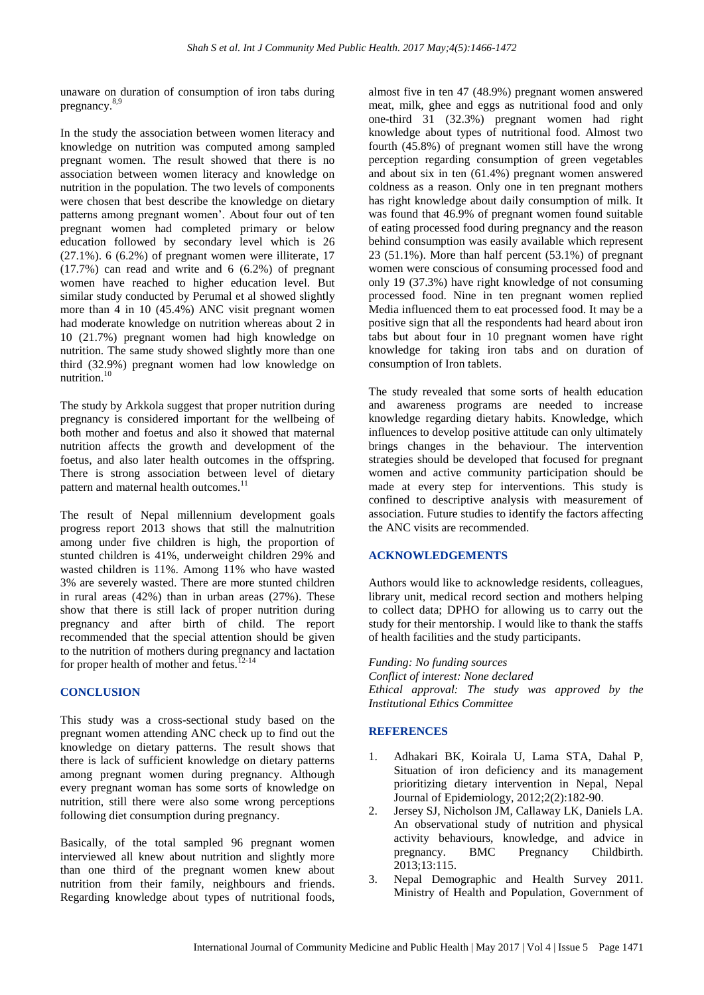unaware on duration of consumption of iron tabs during pregnancy. 8,9

In the study the association between women literacy and knowledge on nutrition was computed among sampled pregnant women. The result showed that there is no association between women literacy and knowledge on nutrition in the population. The two levels of components were chosen that best describe the knowledge on dietary patterns among pregnant women'. About four out of ten pregnant women had completed primary or below education followed by secondary level which is 26  $(27.1\%)$ . 6  $(6.2\%)$  of pregnant women were illiterate, 17 (17.7%) can read and write and 6 (6.2%) of pregnant women have reached to higher education level. But similar study conducted by Perumal et al showed slightly more than 4 in 10 (45.4%) ANC visit pregnant women had moderate knowledge on nutrition whereas about 2 in 10 (21.7%) pregnant women had high knowledge on nutrition. The same study showed slightly more than one third (32.9%) pregnant women had low knowledge on nutrition. 10

The study by Arkkola suggest that proper nutrition during pregnancy is considered important for the wellbeing of both mother and foetus and also it showed that maternal nutrition affects the growth and development of the foetus, and also later health outcomes in the offspring. There is strong association between level of dietary pattern and maternal health outcomes.<sup>11</sup>

The result of Nepal millennium development goals progress report 2013 shows that still the malnutrition among under five children is high, the proportion of stunted children is 41%, underweight children 29% and wasted children is 11%. Among 11% who have wasted 3% are severely wasted. There are more stunted children in rural areas (42%) than in urban areas (27%). These show that there is still lack of proper nutrition during pregnancy and after birth of child. The report recommended that the special attention should be given to the nutrition of mothers during pregnancy and lactation for proper health of mother and fetus.<sup>12-14</sup>

# **CONCLUSION**

This study was a cross-sectional study based on the pregnant women attending ANC check up to find out the knowledge on dietary patterns. The result shows that there is lack of sufficient knowledge on dietary patterns among pregnant women during pregnancy. Although every pregnant woman has some sorts of knowledge on nutrition, still there were also some wrong perceptions following diet consumption during pregnancy.

Basically, of the total sampled 96 pregnant women interviewed all knew about nutrition and slightly more than one third of the pregnant women knew about nutrition from their family, neighbours and friends. Regarding knowledge about types of nutritional foods, almost five in ten 47 (48.9%) pregnant women answered meat, milk, ghee and eggs as nutritional food and only one-third 31 (32.3%) pregnant women had right knowledge about types of nutritional food. Almost two fourth (45.8%) of pregnant women still have the wrong perception regarding consumption of green vegetables and about six in ten (61.4%) pregnant women answered coldness as a reason. Only one in ten pregnant mothers has right knowledge about daily consumption of milk. It was found that 46.9% of pregnant women found suitable of eating processed food during pregnancy and the reason behind consumption was easily available which represent 23  $(51.1\%)$ . More than half percent  $(53.1\%)$  of pregnant women were conscious of consuming processed food and only 19 (37.3%) have right knowledge of not consuming processed food. Nine in ten pregnant women replied Media influenced them to eat processed food. It may be a positive sign that all the respondents had heard about iron tabs but about four in 10 pregnant women have right knowledge for taking iron tabs and on duration of consumption of Iron tablets.

The study revealed that some sorts of health education and awareness programs are needed to increase knowledge regarding dietary habits. Knowledge, which influences to develop positive attitude can only ultimately brings changes in the behaviour. The intervention strategies should be developed that focused for pregnant women and active community participation should be made at every step for interventions. This study is confined to descriptive analysis with measurement of association. Future studies to identify the factors affecting the ANC visits are recommended.

# **ACKNOWLEDGEMENTS**

Authors would like to acknowledge residents, colleagues, library unit, medical record section and mothers helping to collect data; DPHO for allowing us to carry out the study for their mentorship. I would like to thank the staffs of health facilities and the study participants.

*Funding: No funding sources Conflict of interest: None declared Ethical approval: The study was approved by the Institutional Ethics Committee*

# **REFERENCES**

- 1. Adhakari BK, Koirala U, Lama STA, Dahal P, Situation of iron deficiency and its management prioritizing dietary intervention in Nepal, Nepal Journal of Epidemiology, 2012;2(2):182-90.
- 2. Jersey SJ, Nicholson JM, Callaway LK, Daniels LA. An observational study of nutrition and physical activity behaviours, knowledge, and advice in pregnancy. BMC Pregnancy Childbirth. 2013;13:115.
- 3. Nepal Demographic and Health Survey 2011. Ministry of Health and Population, Government of